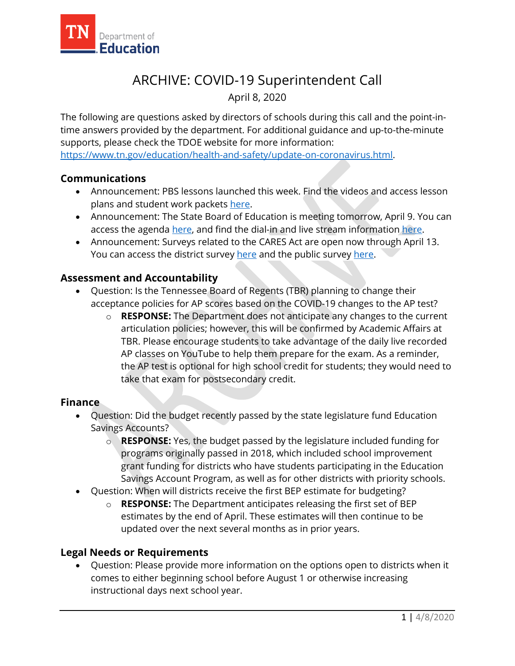

# ARCHIVE: COVID-19 Superintendent Call

April 8, 2020

The following are questions asked by directors of schools during this call and the point-intime answers provided by the department. For additional guidance and up-to-the-minute supports, please check the TDOE website for more information:

[https://www.tn.gov/education/health-and-safety/update-on-coronavirus.html.](https://www.tn.gov/education/health-and-safety/update-on-coronavirus.html)

## **Communications**

- Announcement: PBS lessons launched this week. Find the videos and access lesson plans and student work packets [here.](https://www.tn.gov/education/pbsteaching)
- Announcement: The State Board of Education is meeting tomorrow, April 9. You can access the agenda [here,](https://www.tn.gov/content/dam/tn/stateboardofeducation/documents/2020-sbe-meetings/april-9%2c-2020-sbe-conference-call-meeting/4-9-20%20I%20A%20Agenda%20for%20Public.pdf) and find the dial-in and live stream information [here.](https://www.tn.gov/sbe/meetings/meetings-calendar/2020/4/9/april-9--2020-sbe-conference-call-meeting.html)
- Announcement: Surveys related to the CARES Act are open now through April 13. You can access the district survey [here](https://stateoftennessee.formstack.com/forms/district_cares_survey?mc_cid=6562ff55de&mc_eid=c1a6f38ff5) and the public survey [here.](https://stateoftennessee.formstack.com/forms/public_cares_survey?mc_cid=677ba20efa&mc_eid=502f6811d6)

## **Assessment and Accountability**

- Question: Is the Tennessee Board of Regents (TBR) planning to change their acceptance policies for AP scores based on the COVID-19 changes to the AP test?
	- o **RESPONSE:** The Department does not anticipate any changes to the current articulation policies; however, this will be confirmed by Academic Affairs at TBR. Please encourage students to take advantage of the daily live recorded AP classes on YouTube to help them prepare for the exam. As a reminder, the AP test is optional for high school credit for students; they would need to take that exam for postsecondary credit.

#### **Finance**

- Question: Did the budget recently passed by the state legislature fund Education Savings Accounts?
	- o **RESPONSE:** Yes, the budget passed by the legislature included funding for programs originally passed in 2018, which included school improvement grant funding for districts who have students participating in the Education Savings Account Program, as well as for other districts with priority schools.
- Question: When will districts receive the first BEP estimate for budgeting?
	- o **RESPONSE:** The Department anticipates releasing the first set of BEP estimates by the end of April. These estimates will then continue to be updated over the next several months as in prior years.

# **Legal Needs or Requirements**

• Question: Please provide more information on the options open to districts when it comes to either beginning school before August 1 or otherwise increasing instructional days next school year.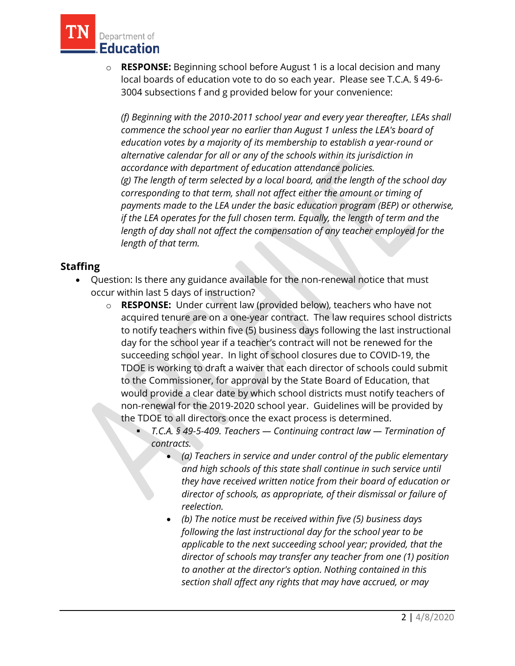

**RESPONSE:** Beginning school before August 1 is a local decision and many local boards of education vote to do so each year. Please see T.C.A. § 49-6- 3004 subsections f and g provided below for your convenience:

*(f) Beginning with the 2010-2011 school year and every year thereafter, LEAs shall commence the school year no earlier than August 1 unless the LEA's board of education votes by a majority of its membership to establish a year-round or alternative calendar for all or any of the schools within its jurisdiction in accordance with department of education attendance policies. (g) The length of term selected by a local board, and the length of the school day corresponding to that term, shall not affect either the amount or timing of payments made to the LEA under the basic education program (BEP) or otherwise, if the LEA operates for the full chosen term. Equally, the length of term and the length of day shall not affect the compensation of any teacher employed for the length of that term.*

# **Staffing**

- Question: Is there any guidance available for the non-renewal notice that must occur within last 5 days of instruction?
	- o **RESPONSE:** Under current law (provided below), teachers who have not acquired tenure are on a one-year contract. The law requires school districts to notify teachers within five (5) business days following the last instructional day for the school year if a teacher's contract will not be renewed for the succeeding school year. In light of school closures due to COVID-19, the TDOE is working to draft a waiver that each director of schools could submit to the Commissioner, for approval by the State Board of Education, that would provide a clear date by which school districts must notify teachers of non-renewal for the 2019-2020 school year. Guidelines will be provided by the TDOE to all directors once the exact process is determined.
		- *T.C.A. § 49-5-409. Teachers — Continuing contract law — Termination of contracts.* 
			- *(a) Teachers in service and under control of the public elementary and high schools of this state shall continue in such service until they have received written notice from their board of education or director of schools, as appropriate, of their dismissal or failure of reelection.*
			- *(b) The notice must be received within five (5) business days following the last instructional day for the school year to be applicable to the next succeeding school year; provided, that the director of schools may transfer any teacher from one (1) position to another at the director's option. Nothing contained in this section shall affect any rights that may have accrued, or may*